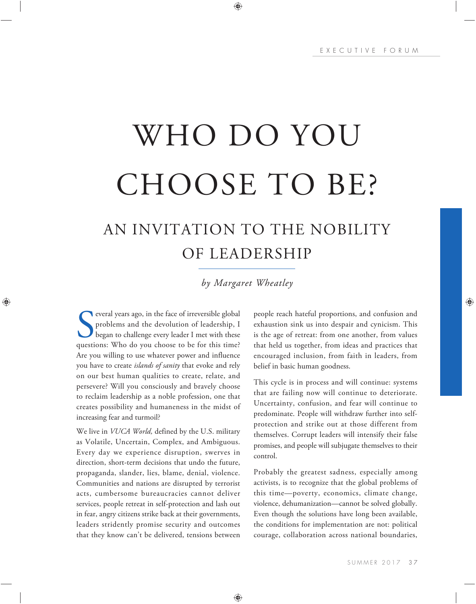# WHO DO YOU CHOOSE TO BE?

### AN INVITATION TO THE NOBILITY OF LEADERSHIP

 *by Margaret Wheatley* 

Several years ago, in the face of irreversible global problems and the devolution of leadership, I began to challenge every leader I met with these questions: Who do you choose to be for this time? everal years ago, in the face of irreversible global problems and the devolution of leadership, I began to challenge every leader I met with these Are you willing to use whatever power and influence you have to create *islands of sanity* that evoke and rely on our best human qualities to create, relate, and persevere? Will you consciously and bravely choose to reclaim leadership as a noble profession, one that creates possibility and humaneness in the midst of increasing fear and turmoil?

 We live in *VUCA World,* defined by the U.S. military as Volatile, Uncertain, Complex, and Ambiguous. Every day we experience disruption, swerves in direction, short-term decisions that undo the future, propaganda, slander, lies, blame, denial, violence. Communities and nations are disrupted by terrorist acts, cumbersome bureaucracies cannot deliver services, people retreat in self-protection and lash out in fear, angry citizens strike back at their governments, leaders stridently promise security and outcomes that they know can't be delivered, tensions between people reach hateful proportions, and confusion and exhaustion sink us into despair and cynicism. This is the age of retreat: from one another, from values that held us together, from ideas and practices that encouraged inclusion, from faith in leaders, from belief in basic human goodness.

 This cycle is in process and will continue: systems that are failing now will continue to deteriorate. Uncertainty, confusion, and fear will continue to predominate. People will withdraw further into selfprotection and strike out at those different from themselves. Corrupt leaders will intensify their false promises, and people will subjugate themselves to their control.

 Probably the greatest sadness, especially among activists, is to recognize that the global problems of this time—poverty, economics, climate change, violence, dehumanization—cannot be solved globally. Even though the solutions have long been available, the conditions for implementation are not: political courage, collaboration across national boundaries,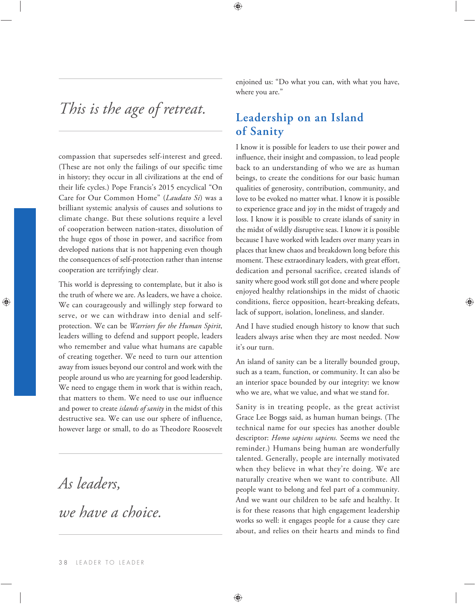*This is the age of retreat.* 

compassion that supersedes self-interest and greed. (These are not only the failings of our specific time in history; they occur in all civilizations at the end of their life cycles.) Pope Francis's 2015 encyclical "On Care for Our Common Home" (*Laudato Si*) was a brilliant systemic analysis of causes and solutions to climate change. But these solutions require a level of cooperation between nation-states, dissolution of the huge egos of those in power, and sacrifice from developed nations that is not happening even though the consequences of self-protection rather than intense cooperation are terrifyingly clear.

 This world is depressing to contemplate, but it also is the truth of where we are. As leaders, we have a choice. We can courageously and willingly step forward to serve, or we can withdraw into denial and selfprotection. We can be *Warriors for the Human Spirit*, leaders willing to defend and support people, leaders who remember and value what humans are capable of creating together. We need to turn our attention away from issues beyond our control and work with the people around us who are yearning for good leadership. We need to engage them in work that is within reach, that matters to them. We need to use our influence and power to create *islands of sanity* in the midst of this destructive sea. We can use our sphere of influence, however large or small, to do as Theodore Roosevelt

# *As leaders, we have a choice.*

enjoined us: "Do what you can, with what you have, where you are."

### **Leadership on an Island of Sanity**

 I know it is possible for leaders to use their power and influence, their insight and compassion, to lead people back to an understanding of who we are as human beings, to create the conditions for our basic human qualities of generosity, contribution, community, and love to be evoked no matter what. I know it is possible to experience grace and joy in the midst of tragedy and loss. I know it is possible to create islands of sanity in the midst of wildly disruptive seas. I know it is possible because I have worked with leaders over many years in places that knew chaos and breakdown long before this moment. These extraordinary leaders, with great effort, dedication and personal sacrifice, created islands of sanity where good work still got done and where people enjoyed healthy relationships in the midst of chaotic conditions, fierce opposition, heart-breaking defeats, lack of support, isolation, loneliness, and slander.

 And I have studied enough history to know that such leaders always arise when they are most needed. Now it's our turn.

 An island of sanity can be a literally bounded group, such as a team, function, or community. It can also be an interior space bounded by our integrity: we know who we are, what we value, and what we stand for.

 Sanity is in treating people, as the great activist Grace Lee Boggs said, as human human beings. (The technical name for our species has another double descriptor: *Homo sapiens sapiens.* Seems we need the reminder.) Humans being human are wonderfully talented. Generally, people are internally motivated when they believe in what they're doing. We are naturally creative when we want to contribute. All people want to belong and feel part of a community. And we want our children to be safe and healthy. It is for these reasons that high engagement leadership works so well: it engages people for a cause they care about, and relies on their hearts and minds to find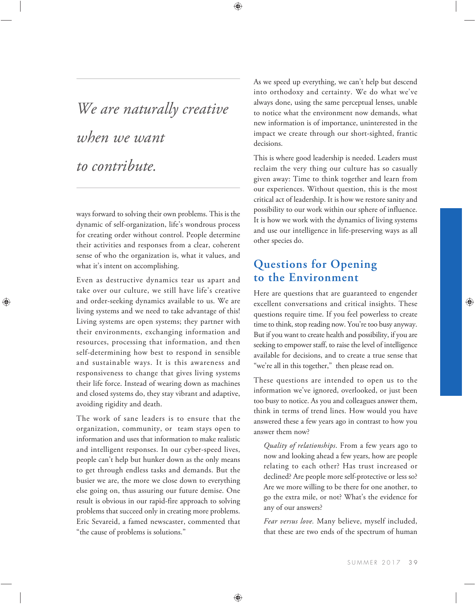# *We are naturally creative when we want to contribute.*

ways forward to solving their own problems. This is the dynamic of self-organization, life's wondrous process for creating order without control. People determine their activities and responses from a clear, coherent sense of who the organization is, what it values, and what it's intent on accomplishing.

 Even as destructive dynamics tear us apart and take over our culture, we still have life's creative and order-seeking dynamics available to us. We are living systems and we need to take advantage of this! Living systems are open systems; they partner with their environments, exchanging information and resources, processing that information, and then self-determining how best to respond in sensible and sustainable ways. It is this awareness and responsiveness to change that gives living systems their life force. Instead of wearing down as machines and closed systems do, they stay vibrant and adaptive, avoiding rigidity and death.

 The work of sane leaders is to ensure that the organization, community, or team stays open to information and uses that information to make realistic and intelligent responses. In our cyber-speed lives, people can't help but hunker down as the only means to get through endless tasks and demands. But the busier we are, the more we close down to everything else going on, thus assuring our future demise. One result is obvious in our rapid-fire approach to solving problems that succeed only in creating more problems. Eric Sevareid, a famed newscaster, commented that "the cause of problems is solutions."

 As we speed up everything, we can't help but descend into orthodoxy and certainty. We do what we've always done, using the same perceptual lenses, unable to notice what the environment now demands, what new information is of importance, uninterested in the impact we create through our short-sighted, frantic decisions.

 This is where good leadership is needed. Leaders must reclaim the very thing our culture has so casually given away: Time to think together and learn from our experiences. Without question, this is the most critical act of leadership. It is how we restore sanity and possibility to our work within our sphere of influence. It is how we work with the dynamics of living systems and use our intelligence in life-preserving ways as all other species do.

### **Questions for Opening to the Environment**

 Here are questions that are guaranteed to engender excellent conversations and critical insights. These questions require time. If you feel powerless to create time to think, stop reading now. You're too busy anyway. But if you want to create health and possibility, if you are seeking to empower staff, to raise the level of intelligence available for decisions, and to create a true sense that "we're all in this together," then please read on.

 These questions are intended to open us to the information we've ignored, overlooked, or just been too busy to notice. As you and colleagues answer them, think in terms of trend lines. How would you have answered these a few years ago in contrast to how you answer them now?

*Quality of relationships* . From a few years ago to now and looking ahead a few years, how are people relating to each other? Has trust increased or declined? Are people more self-protective or less so? Are we more willing to be there for one another, to go the extra mile, or not? What's the evidence for any of our answers?

*Fear versus love.* Many believe, myself included, that these are two ends of the spectrum of human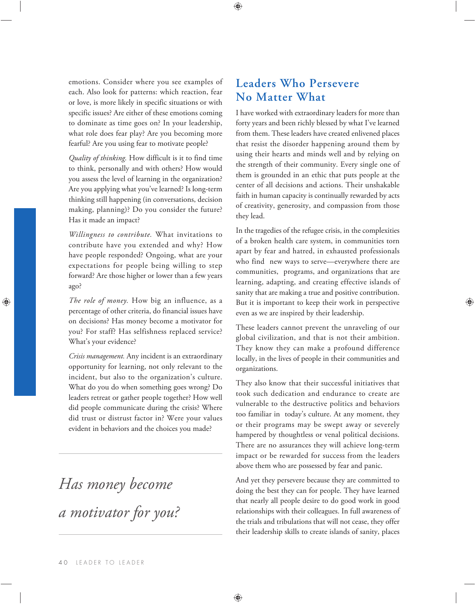emotions. Consider where you see examples of each. Also look for patterns: which reaction, fear or love, is more likely in specific situations or with specific issues? Are either of these emotions coming to dominate as time goes on? In your leadership, what role does fear play? Are you becoming more fearful? Are you using fear to motivate people?

*Quality of thinking.* How difficult is it to find time to think, personally and with others? How would you assess the level of learning in the organization? Are you applying what you've learned? Is long-term thinking still happening (in conversations, decision making, planning)? Do you consider the future? Has it made an impact?

*Willingness to contribute.* What invitations to contribute have you extended and why? How have people responded? Ongoing, what are your expectations for people being willing to step forward? Are those higher or lower than a few years ago?

*The role of money.* How big an influence, as a percentage of other criteria, do financial issues have on decisions? Has money become a motivator for you? For staff? Has selfishness replaced service? What's your evidence?

*Crisis management.* Any incident is an extraordinary opportunity for learning, not only relevant to the incident, but also to the organization's culture. What do you do when something goes wrong? Do leaders retreat or gather people together? How well did people communicate during the crisis? Where did trust or distrust factor in? Were your values evident in behaviors and the choices you made?

# *Has money become a motivator for you?*

### **Leaders Who Persevere No Matter What**

 I have worked with extraordinary leaders for more than forty years and been richly blessed by what I've learned from them. These leaders have created enlivened places that resist the disorder happening around them by using their hearts and minds well and by relying on the strength of their community. Every single one of them is grounded in an ethic that puts people at the center of all decisions and actions. Their unshakable faith in human capacity is continually rewarded by acts of creativity, generosity, and compassion from those they lead.

 In the tragedies of the refugee crisis, in the complexities of a broken health care system, in communities torn apart by fear and hatred, in exhausted professionals who find new ways to serve—everywhere there are communities, programs, and organizations that are learning, adapting, and creating effective islands of sanity that are making a true and positive contribution. But it is important to keep their work in perspective even as we are inspired by their leadership.

 These leaders cannot prevent the unraveling of our global civilization, and that is not their ambition. They know they can make a profound difference locally, in the lives of people in their communities and organizations.

 They also know that their successful initiatives that took such dedication and endurance to create are vulnerable to the destructive politics and behaviors too familiar in today's culture. At any moment, they or their programs may be swept away or severely hampered by thoughtless or venal political decisions. There are no assurances they will achieve long-term impact or be rewarded for success from the leaders above them who are possessed by fear and panic.

 And yet they persevere because they are committed to doing the best they can for people. They have learned that nearly all people desire to do good work in good relationships with their colleagues. In full awareness of the trials and tribulations that will not cease, they offer their leadership skills to create islands of sanity, places